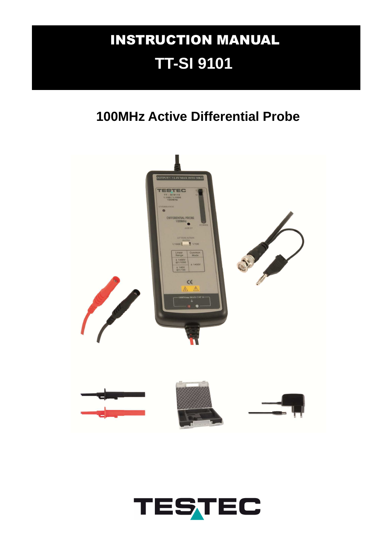# INSTRUCTION MANUAL **TT-SI 9101**

## **100MHz Active Differential Probe**



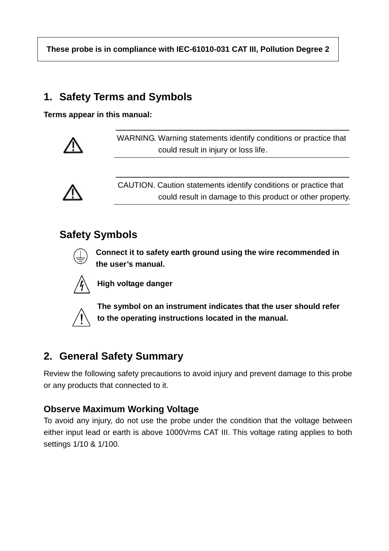**These probe is in compliance with IEC-61010-031 CAT III, Pollution Degree 2** 

 **\_\_\_\_\_\_\_\_\_\_\_\_\_\_\_\_\_\_\_\_\_\_\_\_\_\_\_\_\_\_\_\_\_\_\_\_\_\_\_\_\_\_\_\_\_\_\_\_\_\_\_** 

 **\_\_\_\_\_\_\_\_\_\_\_\_\_\_\_\_\_\_\_\_\_\_\_\_\_\_\_\_\_\_\_\_\_\_\_\_\_\_\_\_\_\_\_\_\_\_\_\_\_\_\_** 

### **1. Safety Terms and Symbols**

**Terms appear in this manual:** 



WARNING. Warning statements identify conditions or practice that could result in injury or loss life.



 CAUTION. Caution statements identify conditions or practice that could result in damage to this product or other property.

## **Safety Symbols**



**Connect it to safety earth ground using the wire recommended in the user's manual.** 



**High voltage danger** 



**The symbol on an instrument indicates that the user should refer to the operating instructions located in the manual.** 

## **2. General Safety Summary**

Review the following safety precautions to avoid injury and prevent damage to this probe or any products that connected to it.

#### **Observe Maximum Working Voltage**

To avoid any injury, do not use the probe under the condition that the voltage between either input lead or earth is above 1000Vrms CAT III. This voltage rating applies to both settings 1/10 & 1/100.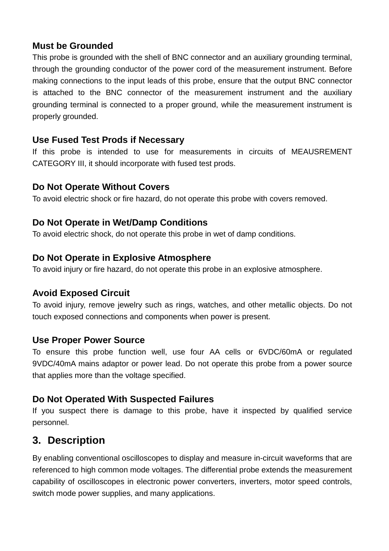#### **Must be Grounded**

This probe is grounded with the shell of BNC connector and an auxiliary grounding terminal, through the grounding conductor of the power cord of the measurement instrument. Before making connections to the input leads of this probe, ensure that the output BNC connector is attached to the BNC connector of the measurement instrument and the auxiliary grounding terminal is connected to a proper ground, while the measurement instrument is properly grounded.

#### **Use Fused Test Prods if Necessary**

If this probe is intended to use for measurements in circuits of MEAUSREMENT CATEGORY III, it should incorporate with fused test prods.

#### **Do Not Operate Without Covers**

To avoid electric shock or fire hazard, do not operate this probe with covers removed.

#### **Do Not Operate in Wet/Damp Conditions**

To avoid electric shock, do not operate this probe in wet of damp conditions.

#### **Do Not Operate in Explosive Atmosphere**

To avoid injury or fire hazard, do not operate this probe in an explosive atmosphere.

#### **Avoid Exposed Circuit**

To avoid injury, remove jewelry such as rings, watches, and other metallic objects. Do not touch exposed connections and components when power is present.

#### **Use Proper Power Source**

To ensure this probe function well, use four AA cells or 6VDC/60mA or regulated 9VDC/40mA mains adaptor or power lead. Do not operate this probe from a power source that applies more than the voltage specified.

#### **Do Not Operated With Suspected Failures**

If you suspect there is damage to this probe, have it inspected by qualified service personnel.

#### **3. Description**

By enabling conventional oscilloscopes to display and measure in-circuit waveforms that are referenced to high common mode voltages. The differential probe extends the measurement capability of oscilloscopes in electronic power converters, inverters, motor speed controls, switch mode power supplies, and many applications.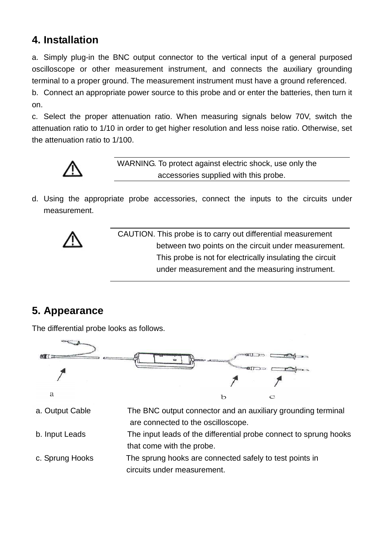### **4. Installation**

a. Simply plug-in the BNC output connector to the vertical input of a general purposed oscilloscope or other measurement instrument, and connects the auxiliary grounding terminal to a proper ground. The measurement instrument must have a ground referenced.

b. Connect an appropriate power source to this probe and or enter the batteries, then turn it on.

c. Select the proper attenuation ratio. When measuring signals below 70V, switch the attenuation ratio to 1/10 in order to get higher resolution and less noise ratio. Otherwise, set the attenuation ratio to 1/100.



WARNING. To protect against electric shock, use only the accessories supplied with this probe.

d. Using the appropriate probe accessories, connect the inputs to the circuits under measurement.



 CAUTION. This probe is to carry out differential measurement between two points on the circuit under measurement. This probe is not for electrically insulating the circuit under measurement and the measuring instrument.

## **5. Appearance**

The differential probe looks as follows.

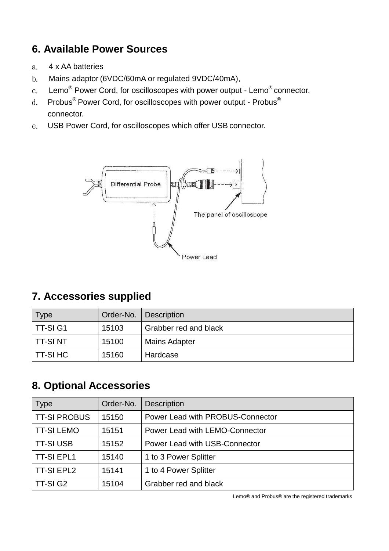## **6. Available Power Sources**

- a. 4 x AA batteries
- b. Mains adaptor (6VDC/60mA or regulated 9VDC/40mA),
- $c.$  Lemo $^\circledR$  Power Cord, for oscilloscopes with power output Lemo $^\circledR$  connector.
- d. Probus<sup>®</sup> Power Cord, for oscilloscopes with power output Probus<sup>®</sup> connector.
- e. USB Power Cord, for oscilloscopes which offer USB connector.



## **7. Accessories supplied**

| $\mathsf{Type}$ |       | Order-No.   Description |
|-----------------|-------|-------------------------|
| l TT-SI G1      | 15103 | Grabber red and black   |
| TT-SI NT        | 15100 | <b>Mains Adapter</b>    |
| TT-SI HC        | 15160 | Hardcase                |

#### **8. Optional Accessories**

| <b>Type</b>         | Order-No. | <b>Description</b>               |
|---------------------|-----------|----------------------------------|
| <b>TT-SI PROBUS</b> | 15150     | Power Lead with PROBUS-Connector |
| <b>TT-SI LEMO</b>   | 15151     | Power Lead with LEMO-Connector   |
| <b>TT-SI USB</b>    | 15152     | Power Lead with USB-Connector    |
| <b>TT-SI EPL1</b>   | 15140     | 1 to 3 Power Splitter            |
| <b>TT-SI EPL2</b>   | 15141     | 1 to 4 Power Splitter            |
| TT-SI G2            | 15104     | Grabber red and black            |

Lemo® and Probus® are the registered trademarks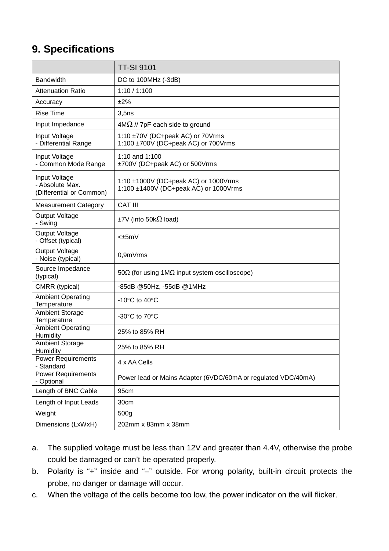## **9. Specifications**

|                                                              | <b>TT-SI 9101</b>                                                             |
|--------------------------------------------------------------|-------------------------------------------------------------------------------|
| Bandwidth                                                    | DC to 100MHz (-3dB)                                                           |
| <b>Attenuation Ratio</b>                                     | 1:10 / 1:100                                                                  |
| Accuracy                                                     | ±2%                                                                           |
| <b>Rise Time</b>                                             | 3,5ns                                                                         |
| Input Impedance                                              | $4M\Omega$ // 7pF each side to ground                                         |
| Input Voltage<br>- Differential Range                        | 1:10 ±70V (DC+peak AC) or 70Vrms<br>1:100 ±700V (DC+peak AC) or 700Vrms       |
| Input Voltage<br>- Common Mode Range                         | 1:10 and 1:100<br>±700V (DC+peak AC) or 500Vrms                               |
| Input Voltage<br>- Absolute Max.<br>(Differential or Common) | 1:10 ±1000V (DC+peak AC) or 1000Vrms<br>1:100 ±1400V (DC+peak AC) or 1000Vrms |
| <b>Measurement Category</b>                                  | <b>CAT III</b>                                                                |
| <b>Output Voltage</b><br>- Swing                             | $\pm$ 7V (into 50k $\Omega$ load)                                             |
| <b>Output Voltage</b><br>- Offset (typical)                  | $-+5mV$                                                                       |
| <b>Output Voltage</b><br>- Noise (typical)                   | 0,9mVrms                                                                      |
| Source Impedance<br>(typical)                                | $50\Omega$ (for using 1M $\Omega$ input system oscilloscope)                  |
| CMRR (typical)                                               | -85dB @50Hz, -55dB @1MHz                                                      |
| <b>Ambient Operating</b><br>Temperature                      | -10 $\mathrm{^{\circ}C}$ to 40 $\mathrm{^{\circ}C}$                           |
| Ambient Storage<br>Temperature                               | -30 $^{\circ}$ C to 70 $^{\circ}$ C                                           |
| <b>Ambient Operating</b><br>Humidity                         | 25% to 85% RH                                                                 |
| <b>Ambient Storage</b><br>Humidity                           | 25% to 85% RH                                                                 |
| <b>Power Requirements</b><br>- Standard                      | 4 x AA Cells                                                                  |
| <b>Power Requirements</b><br>- Optional                      | Power lead or Mains Adapter (6VDC/60mA or regulated VDC/40mA)                 |
| Length of BNC Cable                                          | 95cm                                                                          |
| Length of Input Leads                                        | 30cm                                                                          |
| Weight                                                       | 500g                                                                          |
| Dimensions (LxWxH)                                           | 202mm x 83mm x 38mm                                                           |

- a. The supplied voltage must be less than 12V and greater than 4.4V, otherwise the probe could be damaged or can't be operated properly.
- b. Polarity is "+" inside and "–" outside. For wrong polarity, built-in circuit protects the probe, no danger or damage will occur.
- c. When the voltage of the cells become too low, the power indicator on the will flicker.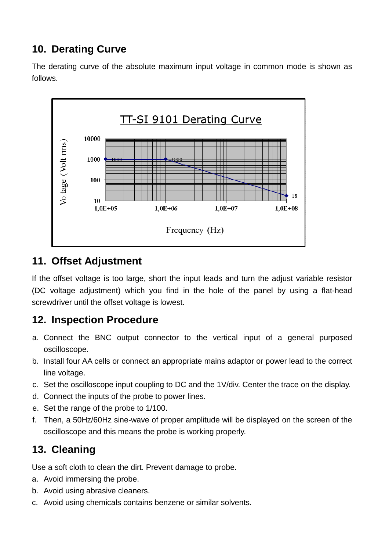## **10. Derating Curve**

The derating curve of the absolute maximum input voltage in common mode is shown as follows.



#### **11. Offset Adjustment**

If the offset voltage is too large, short the input leads and turn the adjust variable resistor (DC voltage adjustment) which you find in the hole of the panel by using a flat-head screwdriver until the offset voltage is lowest.

## **12. Inspection Procedure**

- a. Connect the BNC output connector to the vertical input of a general purposed oscilloscope.
- b. Install four AA cells or connect an appropriate mains adaptor or power lead to the correct line voltage.
- c. Set the oscilloscope input coupling to DC and the 1V/div. Center the trace on the display.
- d. Connect the inputs of the probe to power lines.
- e. Set the range of the probe to 1/100.
- f. Then, a 50Hz/60Hz sine-wave of proper amplitude will be displayed on the screen of the oscilloscope and this means the probe is working properly.

## **13. Cleaning**

Use a soft cloth to clean the dirt. Prevent damage to probe.

- a. Avoid immersing the probe.
- b. Avoid using abrasive cleaners.
- c. Avoid using chemicals contains benzene or similar solvents.